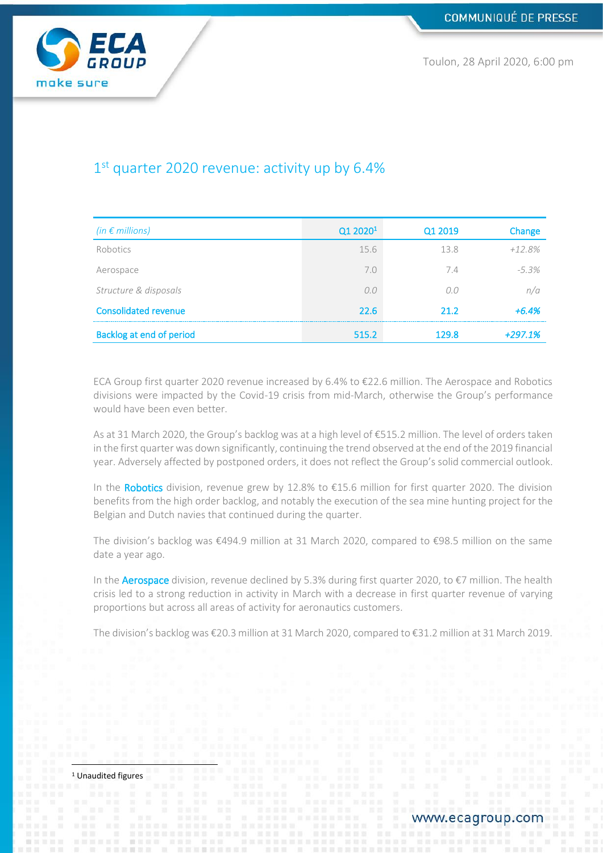

Toulon, 28 April 2020, 6:00 pm

# 1<sup>st</sup> quarter 2020 revenue: activity up by 6.4%

| (in $\epsilon$ millions)    | Q1 2020 <sup>1</sup> | Q1 2019 | Change    |
|-----------------------------|----------------------|---------|-----------|
| Robotics                    | 15.6                 | 13.8    | $+12.8%$  |
| Aerospace                   | 7.0                  | 7.4     | $-5.3%$   |
| Structure & disposals       | n n                  |         | n/a       |
| <b>Consolidated revenue</b> | 22.6                 | 21.2    | $+6.4%$   |
| Backlog at end of period    | 515.2                | 129 R   | $+297.1%$ |

ECA Group first quarter 2020 revenue increased by 6.4% to €22.6 million. The Aerospace and Robotics divisions were impacted by the Covid-19 crisis from mid-March, otherwise the Group's performance would have been even better.

As at 31 March 2020, the Group's backlog was at a high level of €515.2 million. The level of orders taken in the first quarter was down significantly, continuing the trend observed at the end of the 2019 financial year. Adversely affected by postponed orders, it does not reflect the Group's solid commercial outlook.

In the Robotics division, revenue grew by 12.8% to €15.6 million for first quarter 2020. The division benefits from the high order backlog, and notably the execution of the sea mine hunting project for the Belgian and Dutch navies that continued during the quarter.

The division's backlog was €494.9 million at 31 March 2020, compared to €98.5 million on the same date a year ago.

In the **Aerospace** division, revenue declined by 5.3% during first quarter 2020, to  $\epsilon$ 7 million. The health crisis led to a strong reduction in activity in March with a decrease in first quarter revenue of varying proportions but across all areas of activity for aeronautics customers.

The division's backlog was €20.3 million at 31 March 2020, compared to €31.2 million at 31 March 2019.

<sup>1</sup> Unaudited figures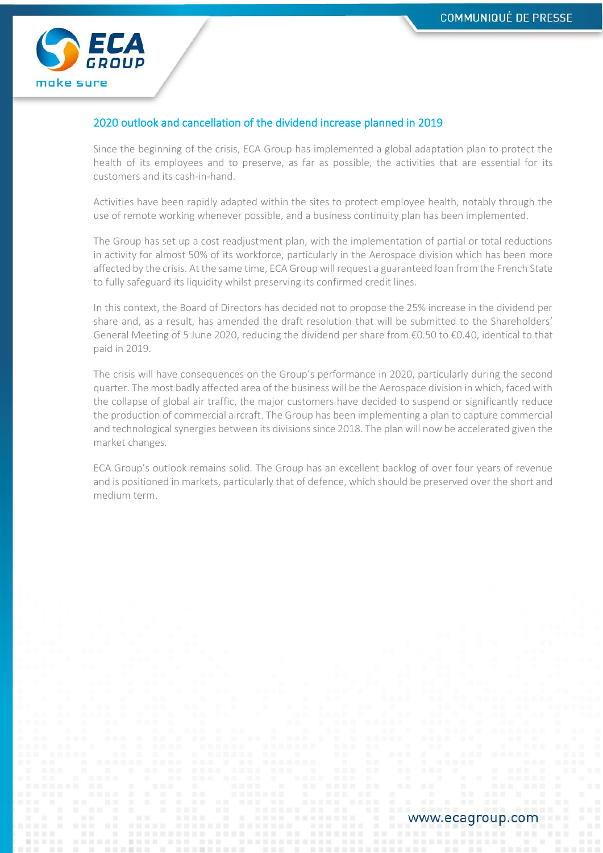

# 2020 outlook and cancellation of the dividend increase planned in 2019

Since the beginning of the crisis, ECA Group has implemented a global adaptation plan to protect the health of its employees and to preserve, as far as possible, the activities that are essential for its customers and its cash-in-hand.

Activities have been rapidly adapted within the sites to protect employee health, notably through the use of remote working whenever possible, and a business continuity plan has been implemented.

The Group has set up a cost readjustment plan, with the implementation of partial or total reductions in activity for almost 50% of its workforce, particularly in the Aerospace division which has been more affected by the crisis. At the same time, ECA Group will request a guaranteed loan from the French State to fully safeguard its liquidity whilst preserving its confirmed credit lines.

In this context, the Board of Directors has decided not to propose the 25% increase in the dividend per share and, as a result, has amended the draft resolution that will be submitted to the Shareholders' General Meeting of 5 June 2020, reducing the dividend per share from €0.50 to €0.40, identical to that paid in 2019.

The crisis will have consequences on the Group's performance in 2020, particularly during the second quarter. The most badly affected area of the business will be the Aerospace division in which, faced with the collapse of global air traffic, the major customers have decided to suspend or significantly reduce the production of commercial aircraft. The Group has been implementing a plan to capture commercial and technological synergies between its divisions since 2018. The plan will now be accelerated given the market changes.

ECA Group's outlook remains solid. The Group has an excellent backlog of over four years of revenue and is positioned in markets, particularly that of defence, which should be preserved over the short and medium term.

www.ecagroup.com